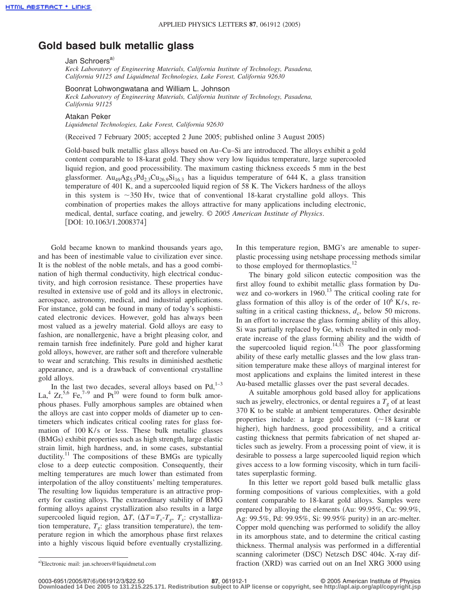## **Gold based bulk metallic glass**

## Jan Schroers<sup>a)</sup>

*Keck Laboratory of Engineering Materials, California Institute of Technology, Pasadena, California 91125 and Liquidmetal Technologies, Lake Forest, California 92630*

Boonrat Lohwongwatana and William L. Johnson

*Keck Laboratory of Engineering Materials, California Institute of Technology, Pasadena, California 91125*

## Atakan Peker

*Liquidmetal Technologies, Lake Forest, California 92630*

Received 7 February 2005; accepted 2 June 2005; published online 3 August 2005-

Gold-based bulk metallic glass alloys based on Au–Cu–Si are introduced. The alloys exhibit a gold content comparable to 18-karat gold. They show very low liquidus temperature, large supercooled liquid region, and good processibility. The maximum casting thickness exceeds 5 mm in the best glassformer.  $Au_{9}Ag_{5.5}Pd_{2.3}Cu_{26.9}Si_{16.3}$  has a liquidus temperature of 644 K, a glass transition temperature of 401 K, and a supercooled liquid region of 58 K. The Vickers hardness of the alloys in this system is  $\sim$ 350 Hv, twice that of conventional 18-karat crystalline gold alloys. This combination of properties makes the alloys attractive for many applications including electronic, medical, dental, surface coating, and jewelry. © *2005 American Institute of Physics*. DOI: 10.1063/1.2008374

Gold became known to mankind thousands years ago, and has been of inestimable value to civilization ever since. It is the noblest of the noble metals, and has a good combination of high thermal conductivity, high electrical conductivity, and high corrosion resistance. These properties have resulted in extensive use of gold and its alloys in electronic, aerospace, astronomy, medical, and industrial applications. For instance, gold can be found in many of today's sophisticated electronic devices. However, gold has always been most valued as a jewelry material. Gold alloys are easy to fashion, are nonallergenic, have a bright pleasing color, and remain tarnish free indefinitely. Pure gold and higher karat gold alloys, however, are rather soft and therefore vulnerable to wear and scratching. This results in diminished aesthetic appearance, and is a drawback of conventional crystalline gold alloys.

In the last two decades, several alloys based on  $Pd<sub>1</sub><sup>1–3</sup>$ La,<sup>4</sup> Zr,<sup>5,6</sup> Fe,<sup>7-9</sup> and Pt<sup>10</sup> were found to form bulk amorphous phases. Fully amorphous samples are obtained when the alloys are cast into copper molds of diameter up to centimeters which indicates critical cooling rates for glass formation of 100 K/s or less. These bulk metallic glasses (BMGs) exhibit properties such as high strength, large elastic strain limit, high hardness, and, in some cases, substantial ductility.<sup>11</sup> The compositions of these BMGs are typically close to a deep eutectic composition. Consequently, their melting temperatures are much lower than estimated from interpolation of the alloy constituents' melting temperatures. The resulting low liquidus temperature is an attractive property for casting alloys. The extraordinary stability of BMG forming alloys against crystallization also results in a large supercooled liquid region,  $\Delta T$ ,  $(\Delta T = T_x - T_g, T_x$ : crystallization temperature,  $T_g$ : glass transition temperature), the temperature region in which the amorphous phase first relaxes into a highly viscous liquid before eventually crystallizing.

In this temperature region, BMG's are amenable to superplastic processing using netshape processing methods similar to those employed for thermoplastics.<sup>12</sup>

The binary gold silicon eutectic composition was the first alloy found to exhibit metallic glass formation by Duwez and co-workers in  $1960$ .<sup>13</sup> The critical cooling rate for glass formation of this alloy is of the order of  $10^6$  K/s, resulting in a critical casting thickness,  $d_c$ , below 50 microns. In an effort to increase the glass forming ability of this alloy, Si was partially replaced by Ge, which resulted in only moderate increase of the glass forming ability and the width of the supercooled liquid region.<sup>14,15</sup> The poor glassforming ability of these early metallic glasses and the low glass transition temperature make these alloys of marginal interest for most applications and explains the limited interest in these Au-based metallic glasses over the past several decades.

A suitable amorphous gold based alloy for applications such as jewelry, electronics, or dental reguires a  $T<sub>g</sub>$  of at least 370 K to be stable at ambient temperatures. Other desirable properties include: a large gold content  $(\sim 18 \text{ karat}$  or higher), high hardness, good processibility, and a critical casting thickness that permits fabrication of net shaped articles such as jewelry. From a processing point of view, it is desirable to possess a large supercooled liquid region which gives access to a low forming viscosity, which in turn facilitates superplastic forming.

In this letter we report gold based bulk metallic glass forming compositions of various complexities, with a gold content comparable to 18-karat gold alloys. Samples were prepared by alloying the elements Au: 99.95%, Cu: 99.9%, Ag: 99.5%, Pd: 99.95%, Si: 99.95% purity) in an arc-melter. Copper mold quenching was performed to solidify the alloy in its amorphous state, and to determine the critical casting thickness. Thermal analysis was performed in a differential scanning calorimeter (DSC) Netzsch DSC 404c. X-ray difa)Electronic mail: jan.schroers@liquidmetal.com **an** Inel XRG 3000 using fraction (XRD) was carried out on an Inel XRG 3000 using

**Downloaded 14 Dec 2005 to 131.215.225.171. Redistribution subject to AIP license or copyright, see http://apl.aip.org/apl/copyright.jsp**

Electronic mail: jan.schroers@liquidmetal.com

**<sup>87</sup>**, 061912-1 © 2005 American Institute of Physics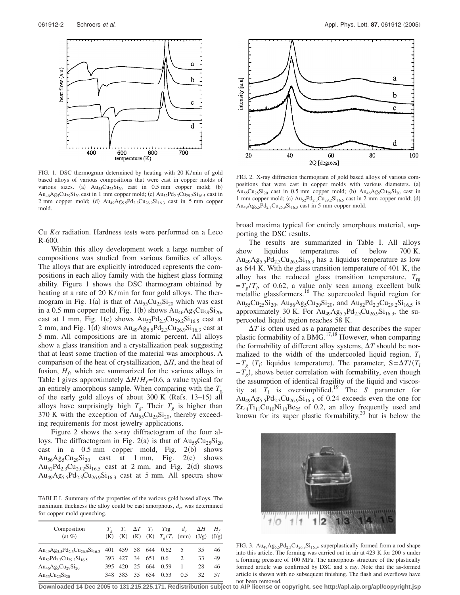

FIG. 1. DSC thermogram determined by heating with 20 K/min of gold based alloys of various compositions that were cast in copper molds of various sizes. (a)  $Au_{55}Cu_{25}Si_{20}$  cast in 0.5 mm copper mold; (b)  $Au_{46}Ag_5Cu_{29}Si_{20}$  cast in 1 mm copper mold; (c)  $Au_{52}Pd_{2.3}Cu_{29.2}Si_{16.5}$  cast in 2 mm copper mold; (d)  $Au_{49}Ag_{5.5}Pd_{2.3}Cu_{26.9}Si_{16.3}$  cast in 5 mm copper mold.

Cu *K*- radiation. Hardness tests were performed on a Leco R-600.

Within this alloy development work a large number of compositions was studied from various families of alloys. The alloys that are explicitly introduced represents the compositions in each alloy family with the highest glass forming ability. Figure 1 shows the DSC thermogram obtained by heating at a rate of 20 K/min for four gold alloys. The thermogram in Fig.  $1(a)$  is that of  $Au_{55}Cu_{25}Si_{20}$  which was cast in a 0.5 mm copper mold, Fig. 1(b) shows  $Au_{46}Ag_5Cu_{29}Si_{20}$ , cast at 1 mm, Fig. 1(c) shows  $Au_{52}Pd_{2.3}Cu_{29.2}Si_{16.5}$  cast at 2 mm, and Fig. 1(d) shows  $Au_{49}Ag_{5.5}Pd_{2.3}Cu_{26.9}Si_{16.3}$  cast at 5 mm. All compositions are in atomic percent. All alloys show a glass transition and a crystallization peak suggesting that at least some fraction of the material was amorphous. A comparison of the heat of crystallization,  $\Delta H$ , and the heat of fusion,  $H_f$ , which are summarized for the various alloys in Table I gives approximately  $\Delta H/H_f = 0.6$ , a value typical for an entirely amorphous sample. When comparing with the  $T<sub>g</sub>$ of the early gold alloys of about  $300 \text{ K}$  (Refs. 13-15) all alloys have surprisingly high  $T_g$ . Their  $T_g$  is higher than 370 K with the exception of  $Au_{55}Cu_{25}Si_{20}$ , thereby exceeding requirements for most jewelry applications.

Figure 2 shows the x-ray diffractogram of the four alloys. The diffractogram in Fig. 2(a) is that of  $Au_{55}Cu_{25}Si_{20}$ cast in a  $0.5$  mm copper mold, Fig.  $2(b)$  shows  $\text{Au}_{56}\text{Ag}_{5}\text{Cu}_{29}\text{Si}_{20}$  cast at 1 mm, Fig. 2(c) shows  $Au_{52}Pd_{2.3}Cu_{29.2}Si_{16.5}$  cast at 2 mm, and Fig. 2(d) shows  $Au_{49}Ag_{5.5}Pd_{2.3}Cu_{26.9}Si_{16.3}$  cast at 5 mm. All spectra show

TABLE I. Summary of the properties of the various gold based alloys. The maximum thickness the alloy could be cast amorphous,  $d_c$ , was determined for copper mold quenching.

| Composition<br>$(at \%)$                                                           |                    |        | $T_x$ $\Delta T$ $T_l$ $T_{\text{rg}}$ $d_c$ $\Delta H$ $H_f$<br>(K) (K) (K) (K) $T_g/T_l$ (mm) (J/g) (J/g) |     |    |    |
|------------------------------------------------------------------------------------|--------------------|--------|-------------------------------------------------------------------------------------------------------------|-----|----|----|
| $Au_{49}Ag_{55}Pd_{23}Cu_{26.9}Si_{16.3}$                                          |                    |        | 401 459 58 644 0.62                                                                                         | 5   | 35 | 46 |
| Au <sub>52</sub> Pd <sub>23</sub> Cu <sub>29</sub> <sub>2</sub> Si <sub>16.5</sub> | 393 427 34 651 0.6 |        |                                                                                                             | 2   | 33 | 49 |
| $Au_{46}Ag_5Cu_{29}Si_{20}$                                                        | 395 420            | 25 664 | 0.59                                                                                                        | 1   | 28 | 46 |
| $Au_{55}Cu_{25}Si_{20}$                                                            | 348 383 35 654     |        | 0.53                                                                                                        | 0.5 | 32 | 57 |



FIG. 2. X-ray diffraction thermogram of gold based alloys of various compositions that were cast in copper molds with various diameters. (a)  $Au_{55}Cu_{25}Si_{20}$  cast in 0.5 mm copper mold; (b)  $Au_{46}Ag_{5}Cu_{29}Si_{20}$  cast in 1 mm copper mold; (c)  $Au_{52}Pd_{2.3}Cu_{29.2}Si_{16.5}$  cast in 2 mm copper mold; (d)  $Au_{49}Ag_{5.5}Pd_{2.3}Cu_{26.9}Si_{16.3}$  cast in 5 mm copper mold.

broad maxima typical for entirely amorphous material, supporting the DSC results.

The results are summarized in Table I. All alloys show liquidus temperatures of below 700 K.  $Au_{49}Ag_{5.5}Pd_{2.3}Cu_{26.9}Si_{16.3}$  has a liquidus temperature as low as 644 K. With the glass transition temperature of 401 K, the alloy has the reduced glass transition temperature,  $T_{\text{r}g}$  $=T_g/T_l$ , of 0.62, a value only seen among excellent bulk metallic glassformers.<sup>16</sup> The supercooled liquid region for Au<sub>55</sub>Cu<sub>25</sub>Si<sub>20</sub>, Au<sub>56</sub>Ag<sub>5</sub>Cu<sub>29</sub>Si<sub>20</sub>, and Au<sub>52</sub>Pd<sub>2.3</sub>Cu<sub>29.2</sub>Si<sub>16.5</sub> is approximately 30 K. For  $Au_{49}Ag_{5.5}Pd_{2.3}Cu_{26.9}Si_{16.3}$ , the supercooled liquid region reaches 58 K.

 $\Delta T$  is often used as a parameter that describes the super plastic formability of a BMG.<sup>17,18</sup> However, when comparing the formability of different alloy systems,  $\Delta T$  should be normalized to the width of the undercooled liquid region,  $T_l$  $-T_g$  (*T<sub>i</sub>*: liquidus temperature). The parameter, S= $\Delta T/(T_l)$  $-T_g$ ), shows better correlation with formability, even though the assumption of identical fragility of the liquid and viscosity at  $\overline{T}_l$  is oversimplified.<sup>19</sup> The *S* parameter for  $Au_{49}Ag_{5.5}Pd_{2.3}Cu_{26.9}Si_{16.3}$  of 0.24 exceeds even the one for  $Zr_{44}Ti_{11}Cu_{10}Ni_{10}Be_{25}$  of 0.2, an alloy frequently used and known for its super plastic formability, $20$  but is below the



FIG. 3.  $Au_{49}Ag_{5.5}Pd_{2.3}Cu_{26.9}Si_{16.3}$ , superplastically formed from a rod shape into this article. The forming was carried out in air at 423 K for 200 s under a forming pressure of 100 MPa. The amorphous structure of the plastically formed article was confirmed by DSC and x ray. Note that the as-formed article is shown with no subsequent finishing. The flash and overflows have not been removed.

**Downloaded 14 Dec 2005 to 131.215.225.171. Redistribution subject to AIP license or copyright, see http://apl.aip.org/apl/copyright.jsp**